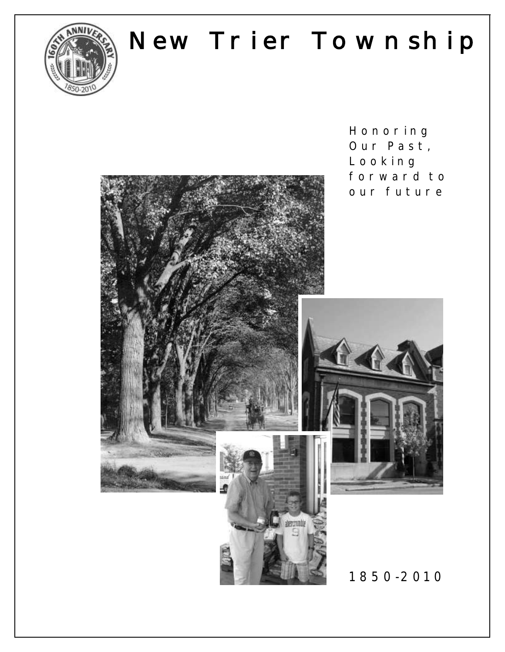

# New Trier Township

**H o n o r i n g**  Our Past, **L o o k i n g**  forward to our future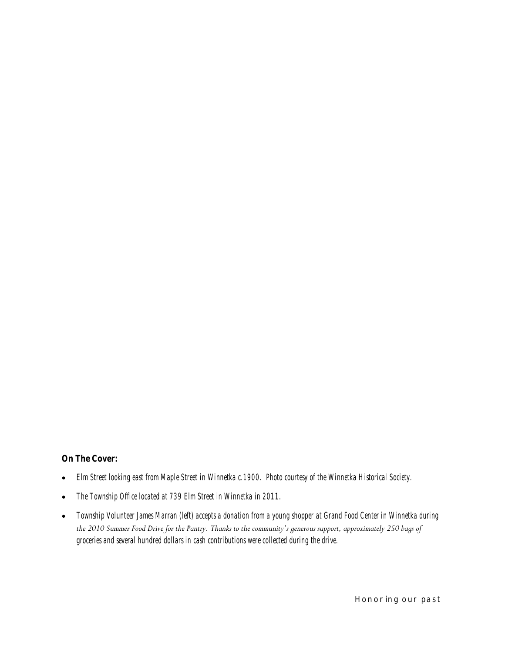**On The Cover:**

- *Elm Street looking east from Maple Street in Winnetka c.1900. Photo courtesy of the Winnetka Historical Society.*
- *The Township Office located at 739 Elm Street in Winnetka in 2011.*
- *Township Volunteer James Marran (left) accepts a donation from a young shopper at Grand Food Center in Winnetka during the 2010 Summer Food Drive for the Pantry. Thanks to the community's generous support, approximately 250 bags of groceries and several hundred dollars in cash contributions were collected during the drive.*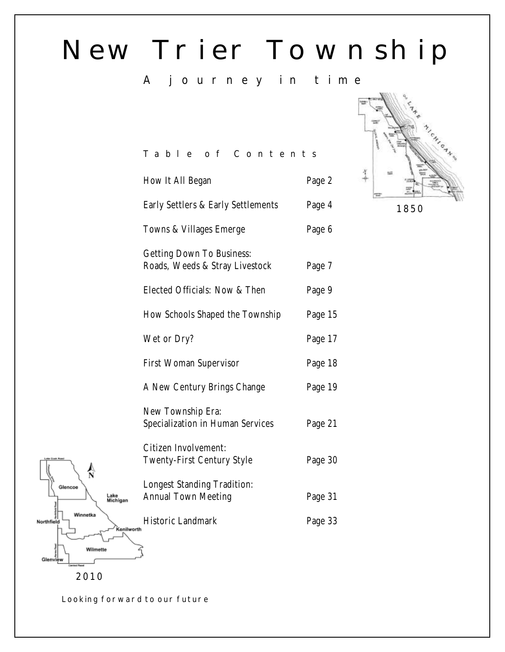# New Trier Township

# **A j o u r n e y i n t i m e**

# **T a b l e o f C o n t e n t s**

|      | How It All Began                                            | Page 2  |  |
|------|-------------------------------------------------------------|---------|--|
|      | Early Settlers & Early Settlements                          | Page 4  |  |
|      | Towns & Villages Emerge                                     | Page 6  |  |
|      | Getting Down To Business:<br>Roads, Weeds & Stray Livestock | Page 7  |  |
|      | Elected Officials: Now & Then                               | Page 9  |  |
|      | How Schools Shaped the Township                             | Page 15 |  |
|      | Wet or Dry?                                                 | Page 17 |  |
|      | First Woman Supervisor                                      | Page 18 |  |
|      | A New Century Brings Change                                 | Page 19 |  |
|      | New Township Era:<br>Specialization in Human Services       | Page 21 |  |
|      | Citizen Involvement:<br>Twenty-First Century Style          | Page 30 |  |
|      | Longest Standing Tradition:<br>Annual Town Meeting          | Page 31 |  |
| orth | Historic Landmark                                           | Page 33 |  |
|      |                                                             |         |  |



**Looking forward to our future**

**2010**

Wilmette

 $\frac{\lambda}{N}$ 

Winnetka

Lake<br>Michigan

'onily

lencoe

Northfie

Glen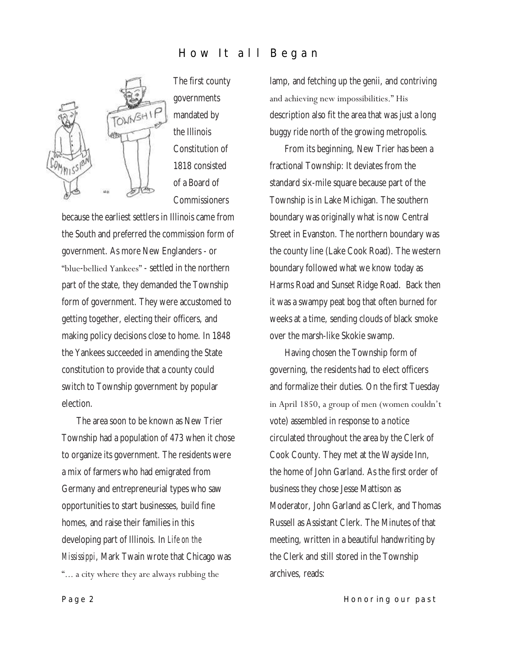## **How It all Began**



The first county governments mandated by the Illinois Constitution of 1818 consisted of a Board of Commissioners

because the earliest settlers in Illinois came from the South and preferred the commission form of government. As more New Englanders - or "blue-bellied Yankees" - settled in the northern part of the state, they demanded the Township form of government. They were accustomed to getting together, electing their officers, and making policy decisions close to home. In 1848 the Yankees succeeded in amending the State constitution to provide that a county could switch to Township government by popular election.

The area soon to be known as New Trier Township had a population of 473 when it chose to organize its government. The residents were a mix of farmers who had emigrated from Germany and entrepreneurial types who saw opportunities to start businesses, build fine homes, and raise their families in this developing part of Illinois. In *Life on the Mississippi*, Mark Twain wrote that Chicago was ―... a city where they are always rubbing the

lamp, and fetching up the genii, and contriving and achieving new impossibilities." His description also fit the area that was just a long buggy ride north of the growing metropolis.

From its beginning, New Trier has been a fractional Township: It deviates from the standard six-mile square because part of the Township is in Lake Michigan. The southern boundary was originally what is now Central Street in Evanston. The northern boundary was the county line (Lake Cook Road). The western boundary followed what we know today as Harms Road and Sunset Ridge Road. Back then it was a swampy peat bog that often burned for weeks at a time, sending clouds of black smoke over the marsh-like Skokie swamp.

Having chosen the Township form of governing, the residents had to elect officers and formalize their duties. On the first Tuesday in April 1850, a group of men (women couldn't vote) assembled in response to a notice circulated throughout the area by the Clerk of Cook County. They met at the Wayside Inn, the home of John Garland. As the first order of business they chose Jesse Mattison as Moderator, John Garland as Clerk, and Thomas Russell as Assistant Clerk. The Minutes of that meeting, written in a beautiful handwriting by the Clerk and still stored in the Township archives, reads: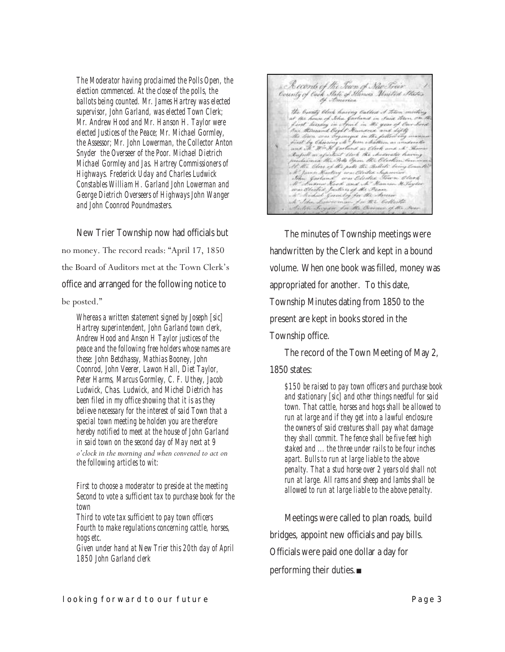*The Moderator having proclaimed the Polls Open, the election commenced. At the close of the polls, the ballots being counted. Mr. James Hartrey was elected supervisor, John Garland, was elected Town Clerk; Mr. Andrew Hood and Mr. Hanson H. Taylor were elected Justices of the Peace; Mr. Michael Gormley, the Assessor; Mr. John Lowerman, the Collector Anton Snyder the Overseer of the Poor. Michael Dietrich Michael Gormley and Jas. Hartrey Commissioners of Highways. Frederick Uday and Charles Ludwick Constables William H. Garland John Lowerman and George Dietrich Overseers of Highways John Wanger and John Coonrod Poundmasters.*

New Trier Township now had officials but no money. The record reads: "April 17, 1850 the Board of Auditors met at the Town Clerk's office and arranged for the following notice to

#### be posted."

*Whereas a written statement signed by Joseph [sic] Hartrey superintendent, John Garland town clerk, Andrew Hood and Anson H Taylor justices of the peace and the following free holders whose names are these: John Betdhassy, Mathias Booney, John Coonrod, John Veerer, Lawon Hall, Diet Taylor, Peter Harms, Marcus Gormley, C. F. Uthey, Jacob Ludwick, Chas. Ludwick, and Michel Dietrich has been filed in my office showing that it is as they believe necessary for the interest of said Town that a special town meeting be holden you are therefore hereby notified to meet at the house of John Garland in said town on the second day of May next at 9 o'clock in the morning and when convened to act on the following articles to wit:* 

*First to choose a moderator to preside at the meeting Second to vote a sufficient tax to purchase book for the town*

*Third to vote tax sufficient to pay town officers Fourth to make regulations concerning cattle, horses, hogs etc.*

*Given under hand at New Trier this 20th day of April 1850 John Garland clerk*

& Records of the Scien of Situ Écie<br>County of look State of Himes Waited States<br>Increased by Increas the bounty black having balled at them modeling<br>at the house of Sha factored in trace them modeling<br>for the house of Sha factored in trace them with<br>fact the model black the sixter and of the<br>medicine to the policy of the k Sihn harvernan for the Collection<br>Enter Suyan for the Overnor of the Ro

The minutes of Township meetings were handwritten by the Clerk and kept in a bound volume. When one book was filled, money was appropriated for another. To this date, Township Minutes dating from 1850 to the present are kept in books stored in the Township office.

The record of the Town Meeting of May 2, 1850 states:

*\$150 be raised to pay town officers and purchase book and stationary [sic] and other things needful for said town. That cattle, horses and hogs shall be allowed to run at large and if they get into a lawful enclosure the owners of said creatures shall pay what damage they shall commit. The fence shall be five feet high staked and ... the three under rails to be four inches apart. Bulls to run at large liable to the above penalty. That a stud horse over 2 years old shall not run at large. All rams and sheep and lambs shall be allowed to run at large liable to the above penalty.*

Meetings were called to plan roads, build bridges, appoint new officials and pay bills. Officials were paid one dollar a day for performing their duties.■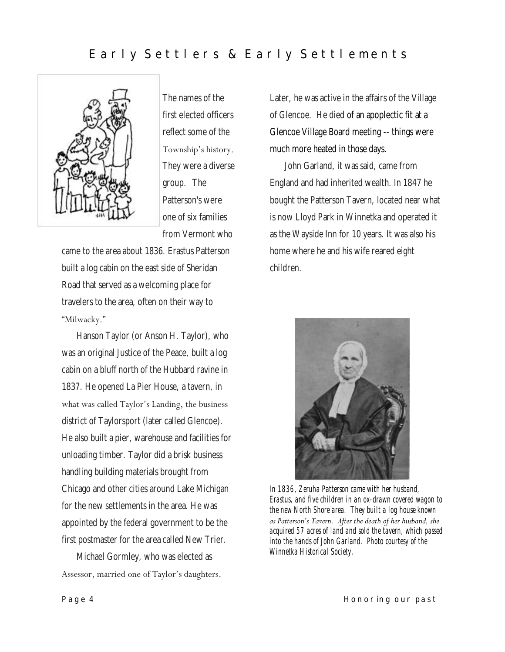## Early Settlers & Early Settlements



The names of the first elected officers reflect some of the Township's history. They were a diverse group. The Patterson's were one of six families from Vermont who

came to the area about 1836. Erastus Patterson built a log cabin on the east side of Sheridan Road that served as a welcoming place for travelers to the area, often on their way to "Milwacky."

Hanson Taylor (or Anson H. Taylor), who was an original Justice of the Peace, built a log cabin on a bluff north of the Hubbard ravine in 1837. He opened La Pier House, a tavern, in what was called Taylor's Landing, the business district of Taylorsport (later called Glencoe). He also built a pier, warehouse and facilities for unloading timber. Taylor did a brisk business handling building materials brought from Chicago and other cities around Lake Michigan for the new settlements in the area. He was appointed by the federal government to be the first postmaster for the area called New Trier.

Michael Gormley, who was elected as Assessor, married one of Taylor's daughters. Later, he was active in the affairs of the Village of Glencoe. He died of an apoplectic fit at a Glencoe Village Board meeting -- things were much more heated in those days.

John Garland, it was said, came from England and had inherited wealth. In 1847 he bought the Patterson Tavern, located near what is now Lloyd Park in Winnetka and operated it as the Wayside Inn for 10 years. It was also his home where he and his wife reared eight children.



*In 1836, Zeruha Patterson came with her husband, Erastus, and five children in an ox-drawn covered wagon to the new North Shore area. They built a log house known as Patterson's Tavern. After the death of her husband, she acquired 57 acres of land and sold the tavern, which passed into the hands of John Garland. Photo courtesy of the Winnetka Historical Society.*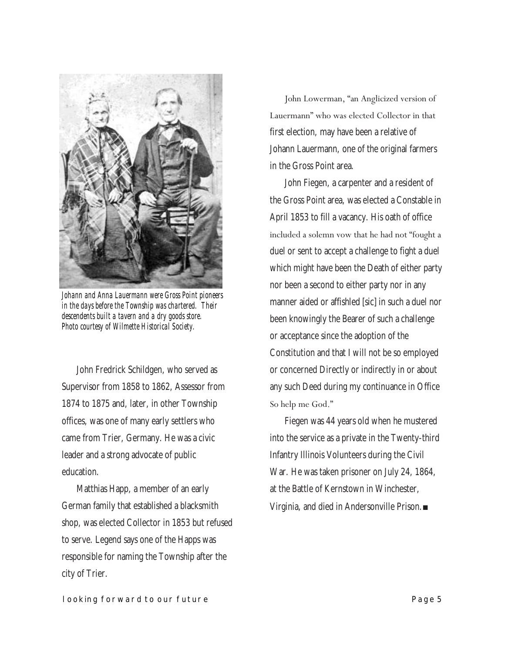

*Johann and Anna Lauermann were Gross Point pioneers in the days before the Township was chartered. Their descendents built a tavern and a dry goods store. Photo courtesy of Wilmette Historical Society.*

John Fredrick Schildgen, who served as Supervisor from 1858 to 1862, Assessor from 1874 to 1875 and, later, in other Township offices, was one of many early settlers who came from Trier, Germany. He was a civic leader and a strong advocate of public education.

Matthias Happ, a member of an early German family that established a blacksmith shop, was elected Collector in 1853 but refused to serve. Legend says one of the Happs was responsible for naming the Township after the city of Trier.

John Lowerman, "an Anglicized version of Lauermann" who was elected Collector in that first election, may have been a relative of Johann Lauermann, one of the original farmers in the Gross Point area.

John Fiegen, a carpenter and a resident of the Gross Point area, was elected a Constable in April 1853 to fill a vacancy. His oath of office included a solemn vow that he had not "fought a duel or sent to accept a challenge to fight a duel which might have been the Death of either party nor been a second to either party nor in any manner aided or affishled [sic] in such a duel nor been knowingly the Bearer of such a challenge or acceptance since the adoption of the Constitution and that I will not be so employed or concerned Directly or indirectly in or about any such Deed during my continuance in Office So help me God."

Fiegen was 44 years old when he mustered into the service as a private in the Twenty-third Infantry Illinois Volunteers during the Civil War. He was taken prisoner on July 24, 1864, at the Battle of Kernstown in Winchester, Virginia, and died in Andersonville Prison.■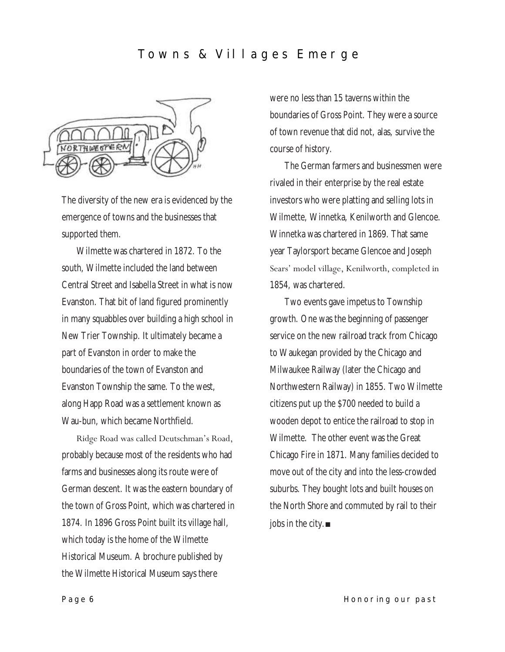## Towns & Villages Emerge



The diversity of the new era is evidenced by the emergence of towns and the businesses that supported them.

Wilmette was chartered in 1872. To the south, Wilmette included the land between Central Street and Isabella Street in what is now Evanston. That bit of land figured prominently in many squabbles over building a high school in New Trier Township. It ultimately became a part of Evanston in order to make the boundaries of the town of Evanston and Evanston Township the same. To the west, along Happ Road was a settlement known as Wau-bun, which became Northfield.

Ridge Road was called Deutschman's Road, probably because most of the residents who had farms and businesses along its route were of German descent. It was the eastern boundary of the town of Gross Point, which was chartered in 1874. In 1896 Gross Point built its village hall, which today is the home of the Wilmette Historical Museum. A brochure published by the Wilmette Historical Museum says there

were no less than 15 taverns within the boundaries of Gross Point. They were a source of town revenue that did not, alas, survive the course of history.

The German farmers and businessmen were rivaled in their enterprise by the real estate investors who were platting and selling lots in Wilmette, Winnetka, Kenilworth and Glencoe. Winnetka was chartered in 1869. That same year Taylorsport became Glencoe and Joseph Sears' model village, Kenilworth, completed in 1854, was chartered.

Two events gave impetus to Township growth. One was the beginning of passenger service on the new railroad track from Chicago to Waukegan provided by the Chicago and Milwaukee Railway (later the Chicago and Northwestern Railway) in 1855. Two Wilmette citizens put up the \$700 needed to build a wooden depot to entice the railroad to stop in Wilmette. The other event was the Great Chicago Fire in 1871. Many families decided to move out of the city and into the less-crowded suburbs. They bought lots and built houses on the North Shore and commuted by rail to their jobs in the city.■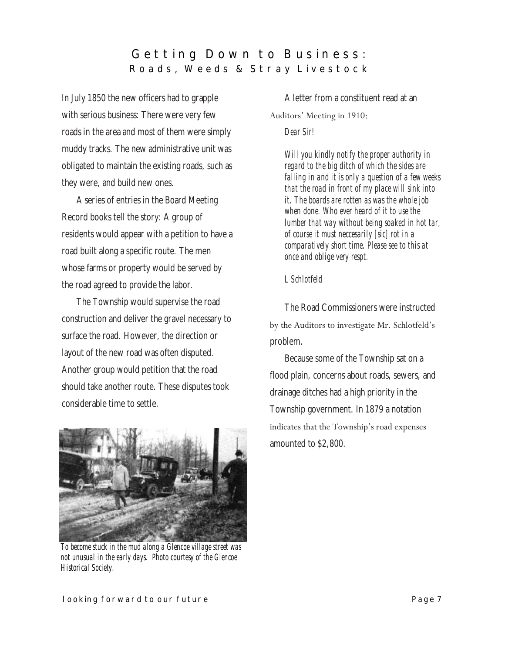## Getting Down to Business: **R o a d s , W e e d s & S t r a y L i v e s t o c k**

In July 1850 the new officers had to grapple with serious business: There were very few roads in the area and most of them were simply muddy tracks. The new administrative unit was obligated to maintain the existing roads, such as they were, and build new ones.

A series of entries in the Board Meeting Record books tell the story: A group of residents would appear with a petition to have a road built along a specific route. The men whose farms or property would be served by the road agreed to provide the labor.

The Township would supervise the road construction and deliver the gravel necessary to surface the road. However, the direction or layout of the new road was often disputed. Another group would petition that the road should take another route. These disputes took considerable time to settle.



*To become stuck in the mud along a Glencoe village street was not unusual in the early days. Photo courtesy of the Glencoe Historical Society.*

A letter from a constituent read at an

#### Auditors' Meeting in 1910:

#### *Dear Sir!*

*Will you kindly notify the proper authority in regard to the big ditch of which the sides are falling in and it is only a question of a few weeks that the road in front of my place will sink into it. The boards are rotten as was the whole job when done. Who ever heard of it to use the lumber that way without being soaked in hot tar, of course it must neccesarily [sic] rot in a comparatively short time. Please see to this at once and oblige very respt.* 

#### *L Schlotfeld*

The Road Commissioners were instructed by the Auditors to investigate Mr. Schlotfeld's problem.

Because some of the Township sat on a flood plain, concerns about roads, sewers, and drainage ditches had a high priority in the Township government. In 1879 a notation indicates that the Township's road expenses amounted to \$2,800.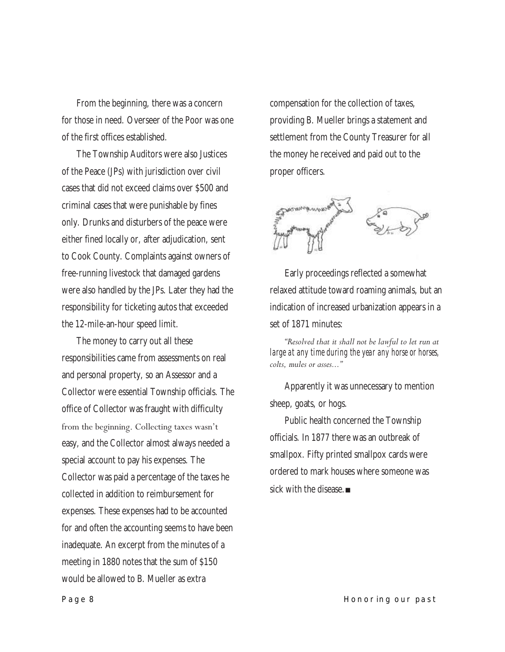From the beginning, there was a concern for those in need. Overseer of the Poor was one of the first offices established.

The Township Auditors were also Justices of the Peace (JPs) with jurisdiction over civil cases that did not exceed claims over \$500 and criminal cases that were punishable by fines only. Drunks and disturbers of the peace were either fined locally or, after adjudication, sent to Cook County. Complaints against owners of free-running livestock that damaged gardens were also handled by the JPs. Later they had the responsibility for ticketing autos that exceeded the 12-mile-an-hour speed limit.

The money to carry out all these responsibilities came from assessments on real and personal property, so an Assessor and a Collector were essential Township officials. The office of Collector was fraught with difficulty from the beginning. Collecting taxes wasn't easy, and the Collector almost always needed a special account to pay his expenses. The Collector was paid a percentage of the taxes he collected in addition to reimbursement for expenses. These expenses had to be accounted for and often the accounting seems to have been inadequate. An excerpt from the minutes of a meeting in 1880 notes that the sum of \$150 would be allowed to B. Mueller as extra

compensation for the collection of taxes, providing B. Mueller brings a statement and settlement from the County Treasurer for all the money he received and paid out to the proper officers.



Early proceedings reflected a somewhat relaxed attitude toward roaming animals, but an indication of increased urbanization appears in a set of 1871 minutes:

*―Resolved that it shall not be lawful to let run at large at any time during the year any horse or horses, colts, mules or asses...‖*

Apparently it was unnecessary to mention sheep, goats, or hogs.

Public health concerned the Township officials. In 1877 there was an outbreak of smallpox. Fifty printed smallpox cards were ordered to mark houses where someone was sick with the disease.■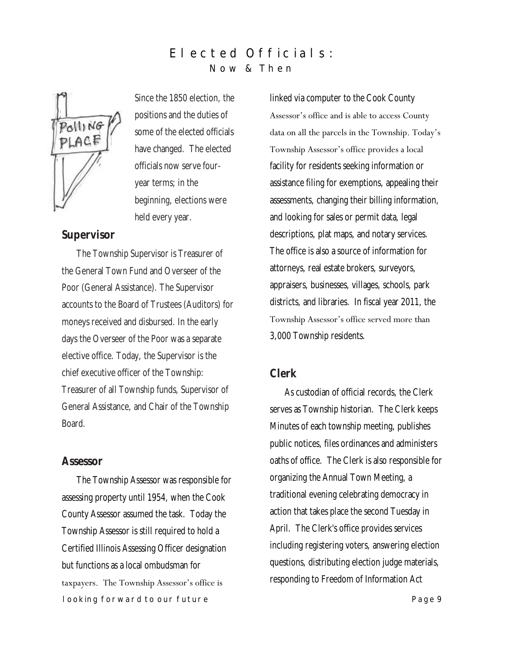## E lected Officials: **N o w & T h e n**



Since the 1850 election, the positions and the duties of some of the elected officials have changed. The elected officials now serve fouryear terms; in the beginning, elections were held every year.

### **Supervisor**

The Township Supervisor is Treasurer of the General Town Fund and Overseer of the Poor (General Assistance). The Supervisor accounts to the Board of Trustees (Auditors) for moneys received and disbursed. In the early days the Overseer of the Poor was a separate elective office. Today, the Supervisor is the chief executive officer of the Township: Treasurer of all Township funds, Supervisor of General Assistance, and Chair of the Township Board.

#### **Assessor**

**looking forward to our future example 20 and 20 and 20 and 20 and 20 and 20 and 20 and 20 and 20 and 20 and 20** The Township Assessor was responsible for assessing property until 1954, when the Cook County Assessor assumed the task. Today the Township Assessor is still required to hold a Certified Illinois Assessing Officer designation but functions as a local ombudsman for taxpayers. The Township Assessor's office is

linked via computer to the Cook County Assessor's office and is able to access County data on all the parcels in the Township. Today's Township Assessor's office provides a local facility for residents seeking information or assistance filing for exemptions, appealing their assessments, changing their billing information, and looking for sales or permit data, legal descriptions, plat maps, and notary services. The office is also a source of information for attorneys, real estate brokers, surveyors, appraisers, businesses, villages, schools, park districts, and libraries. In fiscal year 2011, the Township Assessor's office served more than 3,000 Township residents.

#### **Clerk**

As custodian of official records, the Clerk serves as Township historian. The Clerk keeps Minutes of each township meeting, publishes public notices, files ordinances and administers oaths of office. The Clerk is also responsible for organizing the Annual Town Meeting, a traditional evening celebrating democracy in action that takes place the second Tuesday in April. The Clerk's office provides services including registering voters, answering election questions, distributing election judge materials, responding to Freedom of Information Act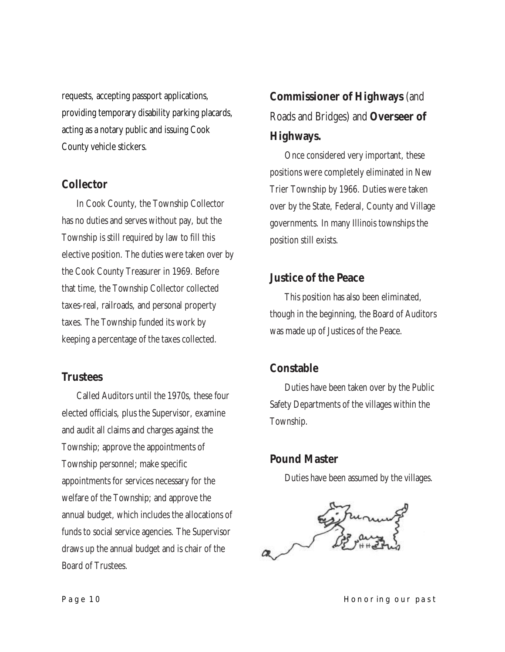requests, accepting passport applications, providing temporary disability parking placards, acting as a notary public and issuing Cook County vehicle stickers.

## **Collector**

In Cook County, the Township Collector has no duties and serves without pay, but the Township is still required by law to fill this elective position. The duties were taken over by the Cook County Treasurer in 1969. Before that time, the Township Collector collected taxes-real, railroads, and personal property taxes. The Township funded its work by keeping a percentage of the taxes collected.

## **Trustees**

Called Auditors until the 1970s, these four elected officials, plus the Supervisor, examine and audit all claims and charges against the Township; approve the appointments of Township personnel; make specific appointments for services necessary for the welfare of the Township; and approve the annual budget, which includes the allocations of funds to social service agencies. The Supervisor draws up the annual budget and is chair of the Board of Trustees.

# **Commissioner of Highways** (and Roads and Bridges) and **Overseer of Highways.**

Once considered very important, these positions were completely eliminated in New Trier Township by 1966. Duties were taken over by the State, Federal, County and Village governments. In many Illinois townships the position still exists.

## **Justice of the Peace**

This position has also been eliminated, though in the beginning, the Board of Auditors was made up of Justices of the Peace.

## **Constable**

Duties have been taken over by the Public Safety Departments of the villages within the Township.

## **Pound Master**

Duties have been assumed by the villages.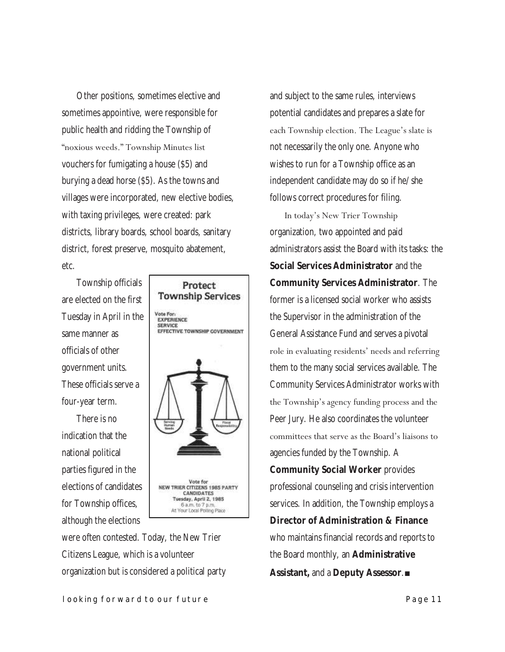Other positions, sometimes elective and sometimes appointive, were responsible for public health and ridding the Township of ―noxious weeds.‖ Township Minutes list vouchers for fumigating a house (\$5) and burying a dead horse (\$5). As the towns and villages were incorporated, new elective bodies, with taxing privileges, were created: park districts, library boards, school boards, sanitary district, forest preserve, mosquito abatement, etc.

Township officials are elected on the first Tuesday in April in the same manner as officials of other government units. These officials serve a four-year term.

There is no indication that the national political parties figured in the elections of candidates for Township offices, although the elections



were often contested. Today, the New Trier Citizens League, which is a volunteer organization but is considered a political party and subject to the same rules, interviews potential candidates and prepares a slate for each Township election. The League's slate is not necessarily the only one. Anyone who wishes to run for a Township office as an independent candidate may do so if he/she follows correct procedures for filing.

In today's New Trier Township organization, two appointed and paid administrators assist the Board with its tasks: the **Social Services Administrator** and the **Community Services Administrator**. The former is a licensed social worker who assists the Supervisor in the administration of the General Assistance Fund and serves a pivotal role in evaluating residents' needs and referring them to the many social services available. The Community Services Administrator works with the Township's agency funding process and the Peer Jury. He also coordinates the volunteer committees that serve as the Board's liaisons to agencies funded by the Township. A **Community Social Worker** provides professional counseling and crisis intervention services. In addition, the Township employs a **Director of Administration & Finance**  who maintains financial records and reports to the Board monthly, an **Administrative Assistant,** and a **Deputy Assessor**.■

#### **looking forward to our future Page 11 Page 11**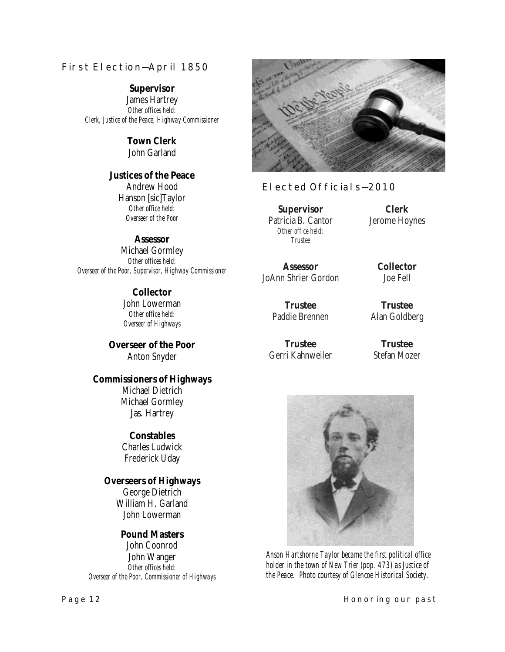#### **First Election—April 1850**

**Supervisor** James Hartrey *Other offices held: Clerk, Justice of the Peace, Highway Commissioner*

#### **Town Clerk** John Garland

**Justices of the Peace** Andrew Hood Hanson [sic]Taylor *Other office held: Overseer of the Poor*

**Assessor** Michael Gormley *Other offices held: Overseer of the Poor, Supervisor, Highway Commissioner*

> **Collector** John Lowerman *Other office held: Overseer of Highways*

**Overseer of the Poor** Anton Snyder

**Commissioners of Highways** Michael Dietrich Michael Gormley Jas. Hartrey

> **Constables** Charles Ludwick Frederick Uday

**Overseers of Highways** George Dietrich William H. Garland John Lowerman

**Pound Masters** John Coonrod John Wanger *Other offices held: Overseer of the Poor, Commissioner of Highways*



### **Elected Officials—2010**

**Supervisor** Patricia B. Cantor *Other office held: Trustee*

**Assessor** JoAnn Shrier Gordon

> **Trustee** Paddie Brennen

**Trustee** Gerri Kahnweiler

**Clerk** Jerome Hoynes

> **Collector** Joe Fell

**Trustee** Alan Goldberg

**Trustee** Stefan Mozer



*Anson Hartshorne Taylor became the first political office holder in the town of New Trier (pop. 473) as Justice of the Peace. Photo courtesy of Glencoe Historical Society.*

**Page 12 Honoring our past**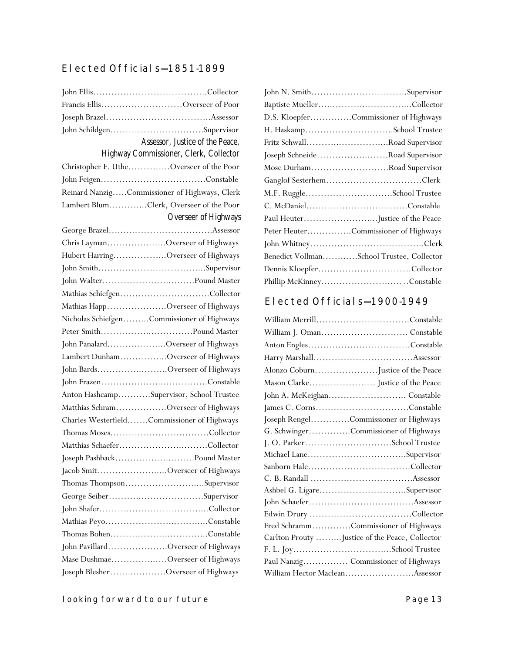## **Elected Officials—1851-1899**

|                                  | Francis EllisOverseer of Poor                 |  |  |
|----------------------------------|-----------------------------------------------|--|--|
|                                  |                                               |  |  |
|                                  | John SchildgenSupervisor                      |  |  |
|                                  | Assessor, Justice of the Peace,               |  |  |
|                                  | Highway Commissioner, Clerk, Collector        |  |  |
|                                  | Christopher F. UtheOverseer of the Poor       |  |  |
|                                  |                                               |  |  |
|                                  | Reinard NanzigCommissioner of Highways, Clerk |  |  |
|                                  | Lambert BlumClerk, Overseer of the Poor       |  |  |
|                                  | Overseer of Highways                          |  |  |
|                                  |                                               |  |  |
|                                  | Chris LaymanOverseer of Highways              |  |  |
|                                  | Hubert HarringOverseer of Highways            |  |  |
|                                  |                                               |  |  |
|                                  |                                               |  |  |
|                                  | Mathias SchiefgenCollector                    |  |  |
|                                  | Mathias HappOverseer of Highways              |  |  |
|                                  | Nicholas SchiefgenCommissioner of Highways    |  |  |
|                                  |                                               |  |  |
|                                  | John PanalardOverseer of Highways             |  |  |
|                                  | Lambert DunhamOverseer of Highways            |  |  |
|                                  | John BardsOverseer of Highways                |  |  |
|                                  |                                               |  |  |
|                                  | Anton HashcampSupervisor, School Trustee      |  |  |
|                                  | Matthias SchramOverseer of Highways           |  |  |
|                                  | Charles WesterfieldCommissioner of Highways   |  |  |
|                                  |                                               |  |  |
|                                  |                                               |  |  |
|                                  | Joseph PashbackPound Master                   |  |  |
|                                  | Jacob SmitOverseer of Highways                |  |  |
|                                  | Thomas ThompsonSupervisor                     |  |  |
|                                  | George SeiberSupervisor                       |  |  |
|                                  |                                               |  |  |
|                                  |                                               |  |  |
|                                  |                                               |  |  |
|                                  | John PavillardOverseer of Highways            |  |  |
| Mase DushmaeOverseer of Highways |                                               |  |  |
|                                  | Joseph BlesherOverseer of Highways            |  |  |

| John N. SmithSupervisor                   |
|-------------------------------------------|
|                                           |
| D.S. KloepferCommissioner of Highways     |
|                                           |
| Fritz SchwallRoad Supervisor              |
| Joseph SchneideRoad Supervisor            |
| Mose DurhamRoad Supervisor                |
| Ganglof SesterhemClerk                    |
| M.F. RuggleSchool Trustee                 |
|                                           |
| Paul HeuterJustice of the Peace           |
| Peter HeuterCommissioner of Highways      |
|                                           |
| Benedict VollmanSchool Trustee, Collector |
| Dennis KloepferCollector                  |
| Phillip McKinneyConstable                 |

## **Elected Officials—1900-1949**

| William MerrillConstable                       |
|------------------------------------------------|
| William J. Oman Constable                      |
|                                                |
|                                                |
| Alonzo CoburnJustice of the Peace              |
|                                                |
| John A. McKeighan Constable                    |
| James C. CornsConstable                        |
| Joseph RengelCommissioner or Highways          |
| G. SchwingerCommissioner of Highways           |
| J. O. ParkerSchool Trustee                     |
|                                                |
|                                                |
|                                                |
| Ashbel G. LigareSupervisor                     |
|                                                |
|                                                |
| Fred SchrammCommissioner of Highways           |
| Carlton Prouty Justice of the Peace, Collector |
|                                                |
| Paul Nanzig Commissioner of Highways           |
| William Hector MacleanAssessor                 |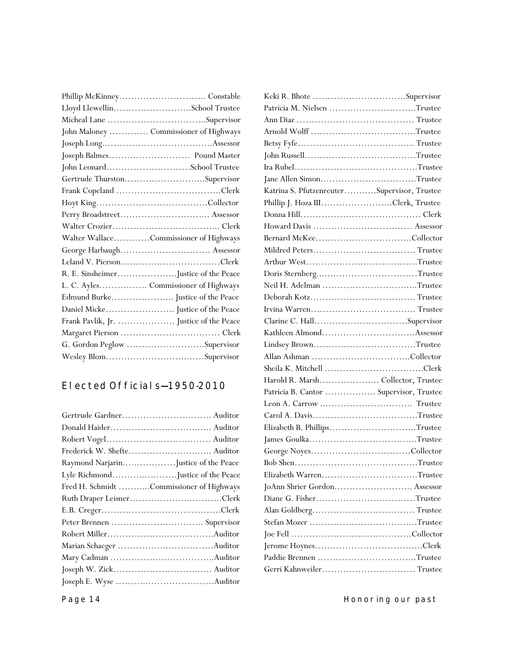| Lloyd LlewellinSchool Trustee          |
|----------------------------------------|
|                                        |
| John Maloney  Commissioner of Highways |
|                                        |
|                                        |
| John LeonardSchool Trustee             |
| Gertrude ThurstonSupervisor            |
|                                        |
|                                        |
|                                        |
|                                        |
| Walter WallaceCommissioner of Highways |
| George Harbaugh Assessor               |
|                                        |
|                                        |
| L. C. Ayles Commissioner of Highways   |
|                                        |
|                                        |
|                                        |
|                                        |
| G. Gordon Peglow Supervisor            |
| Wesley BlomSupervisor                  |
|                                        |

## **Elected Officials—1950-2010**

| Raymond NarjarinJustice of the Peace     |  |
|------------------------------------------|--|
| Lyle RichmondJustice of the Peace        |  |
| Fred H. Schmidt Commissioner of Highways |  |
| Ruth Draper LeisnerClerk                 |  |
|                                          |  |
|                                          |  |
|                                          |  |
|                                          |  |
|                                          |  |
|                                          |  |
|                                          |  |
|                                          |  |

| Keki R. Bhote Supervisor                    |  |
|---------------------------------------------|--|
| Patricia M. Nielsen Trustee                 |  |
|                                             |  |
| Arnold Wolff Trustee                        |  |
|                                             |  |
|                                             |  |
|                                             |  |
| Jane Allen SimonTrustee                     |  |
| Katrina S. PfutzenreuterSupervisor, Trustee |  |
| Phillip J. Hoza IIIClerk, Trustee           |  |
|                                             |  |
|                                             |  |
|                                             |  |
|                                             |  |
|                                             |  |
|                                             |  |
| Neil H. Adelman Trustee                     |  |
|                                             |  |
|                                             |  |
|                                             |  |
|                                             |  |
| Lindsey BrownTrustee                        |  |
|                                             |  |
|                                             |  |
| Harold R. Marsh Collector, Trustee          |  |
| Patricia B. Cantor  Supervisor, Trustee     |  |
|                                             |  |
| Carol A. DavisTrustee                       |  |
| Elizabeth B. PhillipsTrustee                |  |
|                                             |  |
|                                             |  |
|                                             |  |
| Elizabeth WarrenTrustee                     |  |
|                                             |  |
| Diane G. FisherTrustee                      |  |
|                                             |  |
| Stefan Mozer Trustee                        |  |
|                                             |  |
|                                             |  |
|                                             |  |
| Gerri Kahnweiler Trustee                    |  |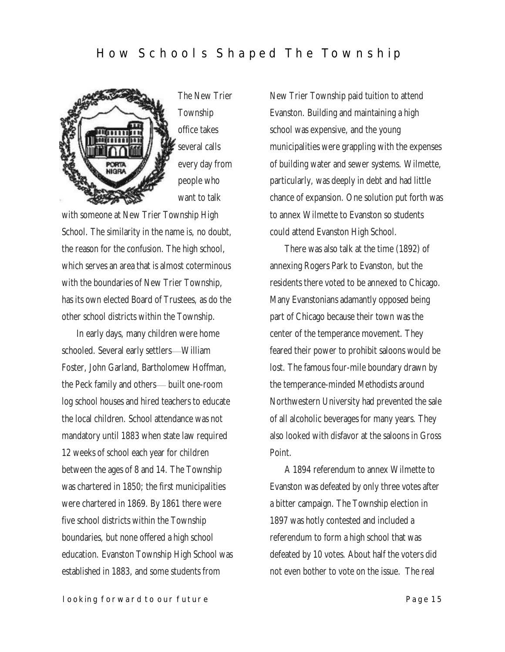## How Schools Shaped The Township



The New Trier Township office takes several calls every day from people who want to talk

with someone at New Trier Township High School. The similarity in the name is, no doubt, the reason for the confusion. The high school, which serves an area that is almost coterminous with the boundaries of New Trier Township, has its own elected Board of Trustees, as do the other school districts within the Township.

In early days, many children were home schooled. Several early settlers—William Foster, John Garland, Bartholomew Hoffman, the Peck family and others— built one-room log school houses and hired teachers to educate the local children. School attendance was not mandatory until 1883 when state law required 12 weeks of school each year for children between the ages of 8 and 14. The Township was chartered in 1850; the first municipalities were chartered in 1869. By 1861 there were five school districts within the Township boundaries, but none offered a high school education. Evanston Township High School was established in 1883, and some students from

New Trier Township paid tuition to attend Evanston. Building and maintaining a high school was expensive, and the young municipalities were grappling with the expenses of building water and sewer systems. Wilmette, particularly, was deeply in debt and had little chance of expansion. One solution put forth was to annex Wilmette to Evanston so students could attend Evanston High School.

There was also talk at the time (1892) of annexing Rogers Park to Evanston, but the residents there voted to be annexed to Chicago. Many Evanstonians adamantly opposed being part of Chicago because their town was the center of the temperance movement. They feared their power to prohibit saloons would be lost. The famous four-mile boundary drawn by the temperance-minded Methodists around Northwestern University had prevented the sale of all alcoholic beverages for many years. They also looked with disfavor at the saloons in Gross Point.

A 1894 referendum to annex Wilmette to Evanston was defeated by only three votes after a bitter campaign. The Township election in 1897 was hotly contested and included a referendum to form a high school that was defeated by 10 votes. About half the voters did not even bother to vote on the issue. The real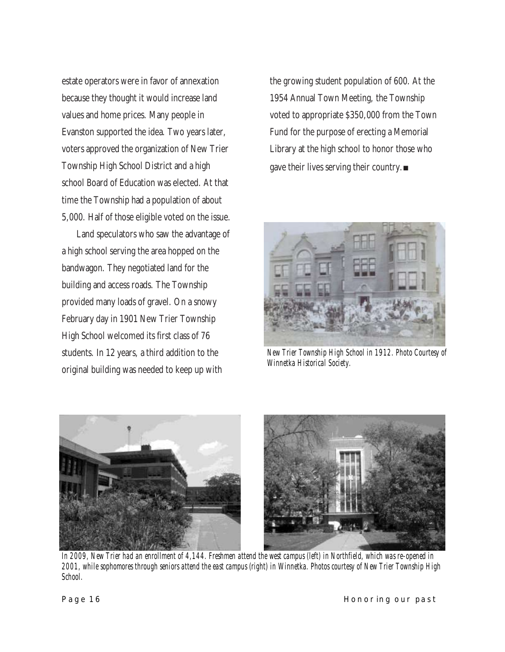estate operators were in favor of annexation because they thought it would increase land values and home prices. Many people in Evanston supported the idea. Two years later, voters approved the organization of New Trier Township High School District and a high school Board of Education was elected. At that time the Township had a population of about 5,000. Half of those eligible voted on the issue.

Land speculators who saw the advantage of a high school serving the area hopped on the bandwagon. They negotiated land for the building and access roads. The Township provided many loads of gravel. On a snowy February day in 1901 New Trier Township High School welcomed its first class of 76 students. In 12 years, a third addition to the original building was needed to keep up with

the growing student population of 600. At the 1954 Annual Town Meeting, the Township voted to appropriate \$350,000 from the Town Fund for the purpose of erecting a Memorial Library at the high school to honor those who gave their lives serving their country.■



*New Trier Township High School in 1912. Photo Courtesy of Winnetka Historical Society.*



*In 2009, New Trier had an enrollment of 4,144. Freshmen attend the west campus (left) in Northfield, which was re-opened in 2001, while sophomores through seniors attend the east campus (right) in Winnetka. Photos courtesy of New Trier Township High School.*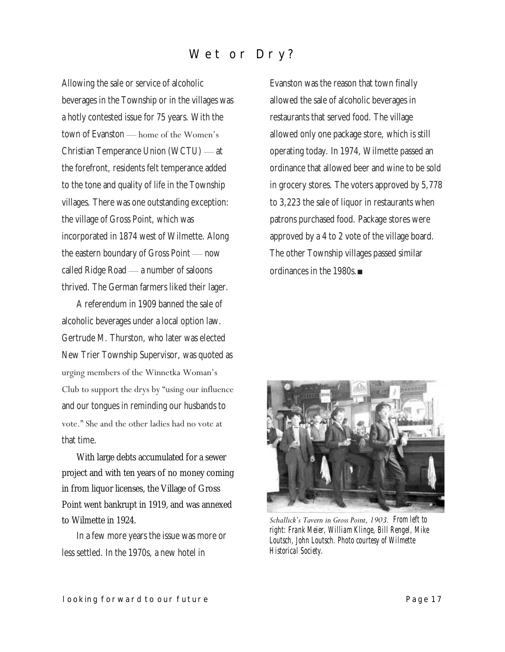# Wet or Dry?

Allowing the sale or service of alcoholic beverages in the Township or in the villages was a hotly contested issue for 75 years. With the town of Evanston — home of the Women's Christian Temperance Union (WCTU) — at the forefront, residents felt temperance added to the tone and quality of life in the Township villages. There was one outstanding exception: the village of Gross Point, which was incorporated in 1874 west of Wilmette. Along the eastern boundary of Gross Point — now called Ridge Road — a number of saloons thrived. The German farmers liked their lager.

A referendum in 1909 banned the sale of alcoholic beverages under a local option law. Gertrude M. Thurston, who later was elected New Trier Township Supervisor, was quoted as urging members of the Winnetka Woman's Club to support the drys by "using our influence and our tongues in reminding our husbands to vote." She and the other ladies had no vote at that time.

With large debts accumulated for a sewer project and with ten years of no money coming in from liquor licenses, the Village of Gross Point went bankrupt in 1919, and was annexed to Wilmette in 1924.

In a few more years the issue was more or less settled. In the 1970s, a new hotel in

Evanston was the reason that town finally allowed the sale of alcoholic beverages in restaurants that served food. The village allowed only one package store, which is still operating today. In 1974, Wilmette passed an ordinance that allowed beer and wine to be sold in grocery stores. The voters approved by 5,778 to 3,223 the sale of liquor in restaurants when patrons purchased food. Package stores were approved by a 4 to 2 vote of the village board. The other Township villages passed similar ordinances in the 1980s.■



*Schallick's Tavern in Gross Point, 1903. From left to right: Frank Meier, William Klinge, Bill Rengel, Mike Loutsch, John Loutsch. Photo courtesy of Wilmette Historical Society.*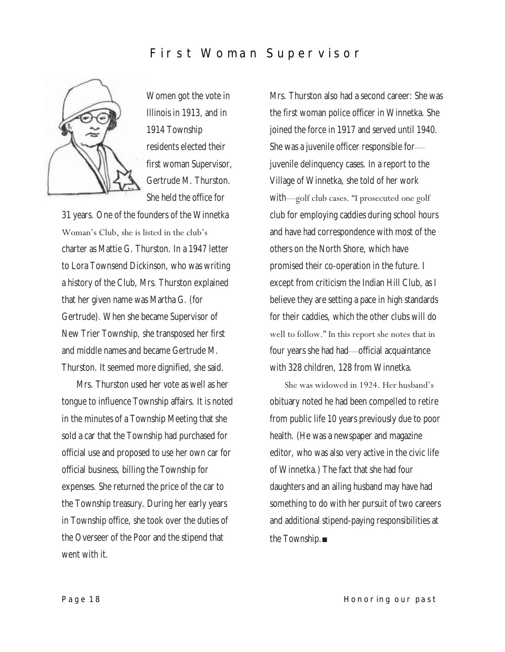# **First Woman Supervisor**



Women got the vote in Illinois in 1913, and in 1914 Township residents elected their first woman Supervisor, Gertrude M. Thurston. She held the office for

31 years. One of the founders of the Winnetka Woman's Club, she is listed in the club's charter as Mattie G. Thurston. In a 1947 letter to Lora Townsend Dickinson, who was writing a history of the Club, Mrs. Thurston explained that her given name was Martha G. (for Gertrude). When she became Supervisor of New Trier Township, she transposed her first and middle names and became Gertrude M. Thurston. It seemed more dignified, she said.

Mrs. Thurston used her vote as well as her tongue to influence Township affairs. It is noted in the minutes of a Township Meeting that she sold a car that the Township had purchased for official use and proposed to use her own car for official business, billing the Township for expenses. She returned the price of the car to the Township treasury. During her early years in Township office, she took over the duties of the Overseer of the Poor and the stipend that went with it.

Mrs. Thurston also had a second career: She was the first woman police officer in Winnetka. She joined the force in 1917 and served until 1940. She was a juvenile officer responsible for juvenile delinquency cases. In a report to the Village of Winnetka, she told of her work with—golf club cases. "I prosecuted one golf club for employing caddies during school hours and have had correspondence with most of the others on the North Shore, which have promised their co-operation in the future. I except from criticism the Indian Hill Club, as I believe they are setting a pace in high standards for their caddies, which the other clubs will do well to follow." In this report she notes that in four years she had had—official acquaintance with 328 children, 128 from Winnetka.

She was widowed in 1924. Her husband's obituary noted he had been compelled to retire from public life 10 years previously due to poor health. (He was a newspaper and magazine editor, who was also very active in the civic life of Winnetka.) The fact that she had four daughters and an ailing husband may have had something to do with her pursuit of two careers and additional stipend-paying responsibilities at the Township.■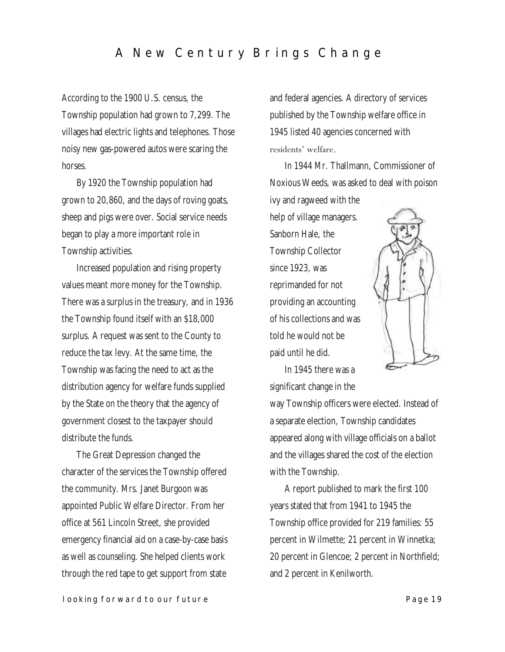# A New Century Brings Change

According to the 1900 U.S. census, the Township population had grown to 7,299. The villages had electric lights and telephones. Those noisy new gas-powered autos were scaring the horses.

By 1920 the Township population had grown to 20,860, and the days of roving goats, sheep and pigs were over. Social service needs began to play a more important role in Township activities.

Increased population and rising property values meant more money for the Township. There was a surplus in the treasury, and in 1936 the Township found itself with an \$18,000 surplus. A request was sent to the County to reduce the tax levy. At the same time, the Township was facing the need to act as the distribution agency for welfare funds supplied by the State on the theory that the agency of government closest to the taxpayer should distribute the funds.

The Great Depression changed the character of the services the Township offered the community. Mrs. Janet Burgoon was appointed Public Welfare Director. From her office at 561 Lincoln Street, she provided emergency financial aid on a case-by-case basis as well as counseling. She helped clients work through the red tape to get support from state

and federal agencies. A directory of services published by the Township welfare office in 1945 listed 40 agencies concerned with residents' welfare.

In 1944 Mr. Thallmann, Commissioner of Noxious Weeds, was asked to deal with poison

ivy and ragweed with the help of village managers. Sanborn Hale, the Township Collector since 1923, was reprimanded for not providing an accounting of his collections and was told he would not be paid until he did.



In 1945 there was a significant change in the

way Township officers were elected. Instead of a separate election, Township candidates appeared along with village officials on a ballot and the villages shared the cost of the election with the Township.

A report published to mark the first 100 years stated that from 1941 to 1945 the Township office provided for 219 families: 55 percent in Wilmette; 21 percent in Winnetka; 20 percent in Glencoe; 2 percent in Northfield; and 2 percent in Kenilworth.

#### **looking forward to our future Page 19** Page 19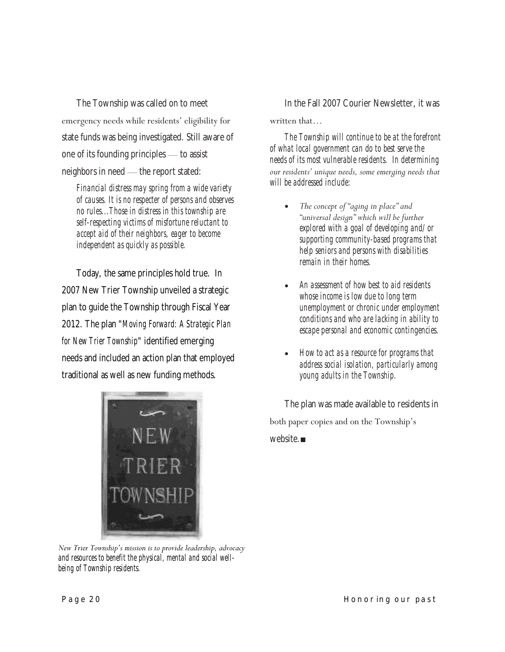The Township was called on to meet emergency needs while residents' eligibility for state funds was being investigated. Still aware of one of its founding principles — to assist neighbors in need — the report stated:

*Financial distress may spring from a wide variety of causes. It is no respecter of persons and observes no rules...Those in distress in this township are self-respecting victims of misfortune reluctant to accept aid of their neighbors, eager to become independent as quickly as possible.*

Today, the same principles hold true. In 2007 New Trier Township unveiled a strategic plan to guide the Township through Fiscal Year 2012. The plan "*[Moving Forward: A Strategic Plan](http://www.newtriertownship.com/assets/1/Page/StrategicPlan.pdf)  [for New Trier Township](http://www.newtriertownship.com/assets/1/Page/StrategicPlan.pdf)*" identified emerging needs and included an action plan that employed traditional as well as new funding methods.



*New Trier Township's mission is to provide leadership, advocacy and resources to benefit the physical, mental and social wellbeing of Township residents.*

#### In the Fall 2007 Courier Newsletter, it was

#### written that…

*The Township will continue to be at the forefront of what local government can do to best serve the needs of its most vulnerable residents. In determining our residents' unique needs, some emerging needs that will be addressed include:*

- The concept of "aging in place" and *―universal design‖ which will be further explored with a goal of developing and/or supporting community-based programs that help seniors and persons with disabilities remain in their homes.*
- *An assessment of how best to aid residents whose income is low due to long term unemployment or chronic under employment conditions and who are lacking in ability to escape personal and economic contingencies.*
- *How to act as a resource for programs that address social isolation, particularly among young adults in the Township.*

The plan was made available to residents in both paper copies and on the Township's website.■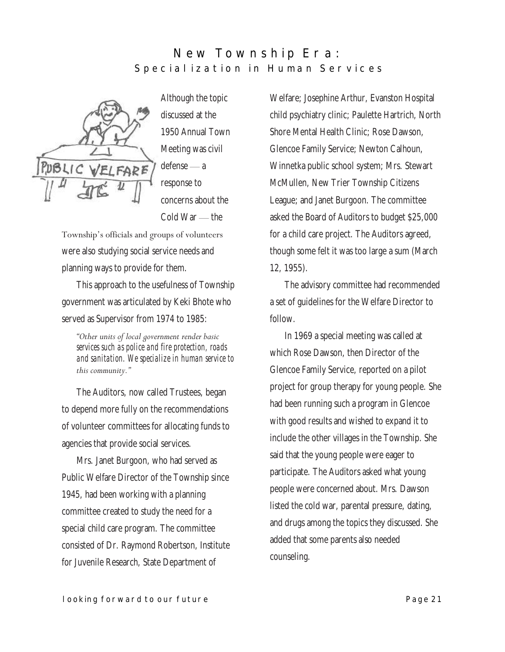## **New Township Era:** Special ization in Human Services



Although the topic discussed at the 1950 Annual Town Meeting was civil defense — a response to concerns about the Cold War — the

Township's officials and groups of volunteers were also studying social service needs and planning ways to provide for them.

This approach to the usefulness of Township government was articulated by Keki Bhote who served as Supervisor from 1974 to 1985:

*―Other units of local government render basic services such as police and fire protection, roads and sanitation. We specialize in human service to this community.‖*

The Auditors, now called Trustees, began to depend more fully on the recommendations of volunteer committees for allocating funds to agencies that provide social services.

Mrs. Janet Burgoon, who had served as Public Welfare Director of the Township since 1945, had been working with a planning committee created to study the need for a special child care program. The committee consisted of Dr. Raymond Robertson, Institute for Juvenile Research, State Department of

Welfare; Josephine Arthur, Evanston Hospital child psychiatry clinic; Paulette Hartrich, North Shore Mental Health Clinic; Rose Dawson, Glencoe Family Service; Newton Calhoun, Winnetka public school system; Mrs. Stewart McMullen, New Trier Township Citizens League; and Janet Burgoon. The committee asked the Board of Auditors to budget \$25,000 for a child care project. The Auditors agreed, though some felt it was too large a sum (March 12, 1955).

The advisory committee had recommended a set of guidelines for the Welfare Director to follow.

In 1969 a special meeting was called at which Rose Dawson, then Director of the Glencoe Family Service, reported on a pilot project for group therapy for young people. She had been running such a program in Glencoe with good results and wished to expand it to include the other villages in the Township. She said that the young people were eager to participate. The Auditors asked what young people were concerned about. Mrs. Dawson listed the cold war, parental pressure, dating, and drugs among the topics they discussed. She added that some parents also needed counseling.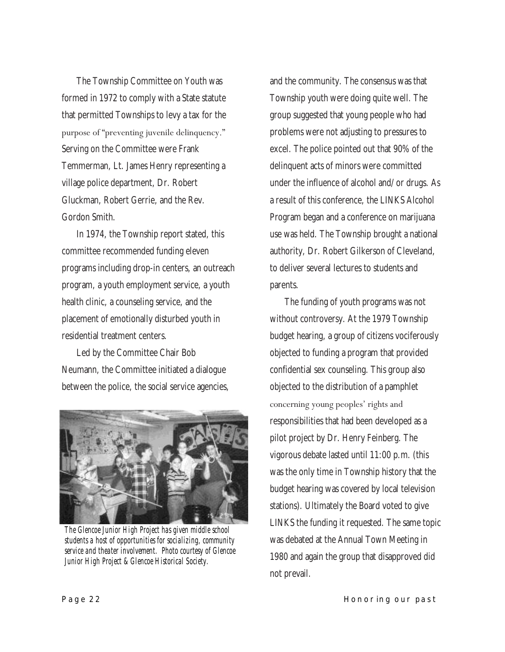The Township Committee on Youth was formed in 1972 to comply with a State statute that permitted Townships to levy a tax for the purpose of "preventing juvenile delinquency." Serving on the Committee were Frank Temmerman, Lt. James Henry representing a village police department, Dr. Robert Gluckman, Robert Gerrie, and the Rev. Gordon Smith.

In 1974, the Township report stated, this committee recommended funding eleven programs including drop-in centers, an outreach program, a youth employment service, a youth health clinic, a counseling service, and the placement of emotionally disturbed youth in residential treatment centers.

Led by the Committee Chair Bob Neumann, the Committee initiated a dialogue between the police, the social service agencies,



*The Glencoe Junior High Project has given middle school students a host of opportunities for socializing, community service and theater involvement. Photo courtesy of Glencoe Junior High Project & Glencoe Historical Society.*

and the community. The consensus was that Township youth were doing quite well. The group suggested that young people who had problems were not adjusting to pressures to excel. The police pointed out that 90% of the delinquent acts of minors were committed under the influence of alcohol and/or drugs. As a result of this conference, the LINKS Alcohol Program began and a conference on marijuana use was held. The Township brought a national authority, Dr. Robert Gilkerson of Cleveland, to deliver several lectures to students and parents.

The funding of youth programs was not without controversy. At the 1979 Township budget hearing, a group of citizens vociferously objected to funding a program that provided confidential sex counseling. This group also objected to the distribution of a pamphlet concerning young peoples' rights and responsibilities that had been developed as a pilot project by Dr. Henry Feinberg. The vigorous debate lasted until 11:00 p.m. (this was the only time in Township history that the budget hearing was covered by local television stations). Ultimately the Board voted to give LINKS the funding it requested. The same topic was debated at the Annual Town Meeting in 1980 and again the group that disapproved did not prevail.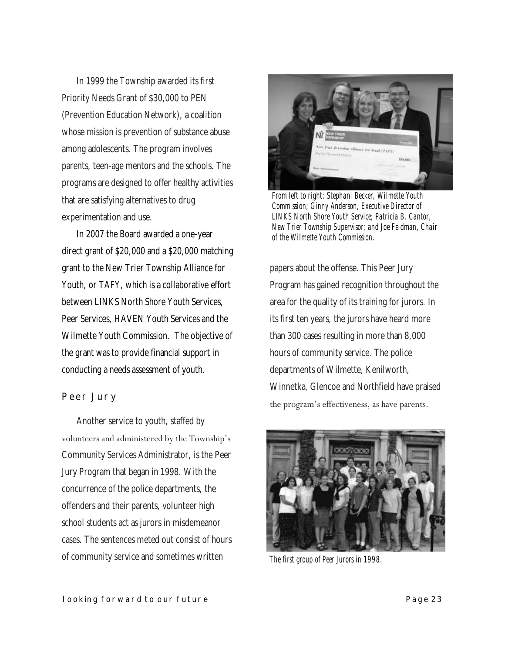In 1999 the Township awarded its first Priority Needs Grant of \$30,000 to PEN (Prevention Education Network), a coalition whose mission is prevention of substance abuse among adolescents. The program involves parents, teen-age mentors and the schools. The programs are designed to offer healthy activities that are satisfying alternatives to drug experimentation and use.

In 2007 the Board awarded a one-year direct grant of \$20,000 and a \$20,000 matching grant to the New Trier Township Alliance for Youth, or TAFY, which is a collaborative effort between LINKS North Shore Youth Services, Peer Services, HAVEN Youth Services and the Wilmette Youth Commission. The objective of the grant was to provide financial support in conducting a needs assessment of youth.

#### **Peer Jury**

Another service to youth, staffed by volunteers and administered by the Township's Community Services Administrator, is the Peer Jury Program that began in 1998. With the concurrence of the police departments, the offenders and their parents, volunteer high school students act as jurors in misdemeanor cases. The sentences meted out consist of hours of community service and sometimes written



*From left to right: Stephani Becker, Wilmette Youth Commission; Ginny Anderson, Executive Director of LINKS North Shore Youth Service; Patricia B. Cantor, New Trier Township Supervisor; and Joe Feldman, Chair of the Wilmette Youth Commission.* 

papers about the offense. This Peer Jury Program has gained recognition throughout the area for the quality of its training for jurors. In its first ten years, the jurors have heard more than 300 cases resulting in more than 8,000 hours of community service. The police departments of Wilmette, Kenilworth, Winnetka, Glencoe and Northfield have praised the program's effectiveness, as have parents.



*The first group of Peer Jurors in 1998.*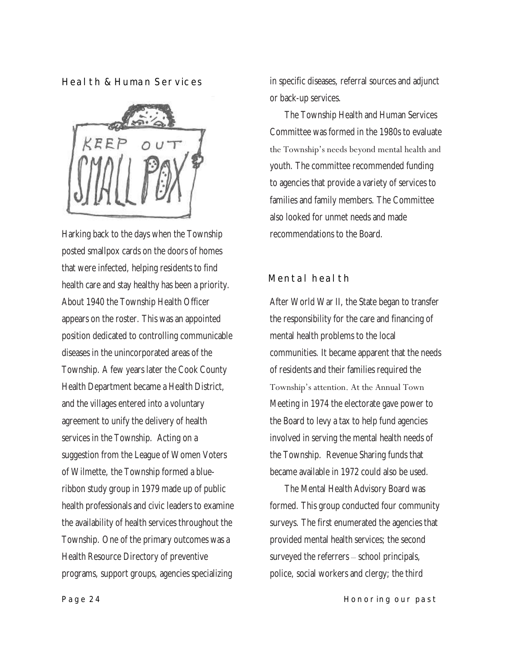**Health & Human Services**



Harking back to the days when the Township posted smallpox cards on the doors of homes that were infected, helping residents to find health care and stay healthy has been a priority. About 1940 the Township Health Officer appears on the roster. This was an appointed position dedicated to controlling communicable diseases in the unincorporated areas of the Township. A few years later the Cook County Health Department became a Health District, and the villages entered into a voluntary agreement to unify the delivery of health services in the Township. Acting on a suggestion from the League of Women Voters of Wilmette, the Township formed a blueribbon study group in 1979 made up of public health professionals and civic leaders to examine the availability of health services throughout the Township. One of the primary outcomes was a Health Resource Directory of preventive programs, support groups, agencies specializing

in specific diseases, referral sources and adjunct or back-up services.

The Township Health and Human Services Committee was formed in the 1980s to evaluate the Township's needs beyond mental health and youth. The committee recommended funding to agencies that provide a variety of services to families and family members. The Committee also looked for unmet needs and made recommendations to the Board.

## **Mental health**

After World War II, the State began to transfer the responsibility for the care and financing of mental health problems to the local communities. It became apparent that the needs of residents and their families required the Township's attention. At the Annual Town Meeting in 1974 the electorate gave power to the Board to levy a tax to help fund agencies involved in serving the mental health needs of the Township. Revenue Sharing funds that became available in 1972 could also be used.

The Mental Health Advisory Board was formed. This group conducted four community surveys. The first enumerated the agencies that provided mental health services; the second surveyed the referrers – school principals, police, social workers and clergy; the third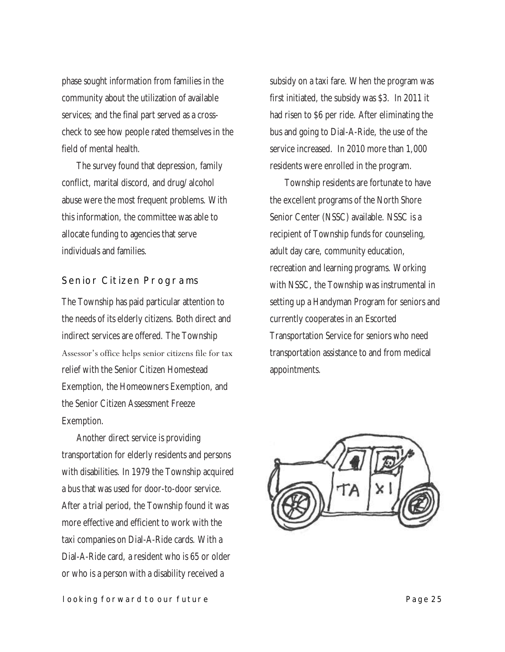phase sought information from families in the community about the utilization of available services; and the final part served as a crosscheck to see how people rated themselves in the field of mental health.

The survey found that depression, family conflict, marital discord, and drug/alcohol abuse were the most frequent problems. With this information, the committee was able to allocate funding to agencies that serve individuals and families.

#### **Senior Citizen Programs**

The Township has paid particular attention to the needs of its elderly citizens. Both direct and indirect services are offered. The Township Assessor's office helps senior citizens file for tax relief with the Senior Citizen Homestead Exemption, the Homeowners Exemption, and the Senior Citizen Assessment Freeze Exemption.

Another direct service is providing transportation for elderly residents and persons with disabilities. In 1979 the Township acquired a bus that was used for door-to-door service. After a trial period, the Township found it was more effective and efficient to work with the taxi companies on Dial-A-Ride cards. With a Dial-A-Ride card, a resident who is 65 or older or who is a person with a disability received a

subsidy on a taxi fare. When the program was first initiated, the subsidy was \$3. In 2011 it had risen to \$6 per ride. After eliminating the bus and going to Dial-A-Ride, the use of the service increased. In 2010 more than 1,000 residents were enrolled in the program.

Township residents are fortunate to have the excellent programs of the North Shore Senior Center (NSSC) available. NSSC is a recipient of Township funds for counseling, adult day care, community education, recreation and learning programs. Working with NSSC, the Township was instrumental in setting up a Handyman Program for seniors and currently cooperates in an Escorted Transportation Service for seniors who need transportation assistance to and from medical appointments.

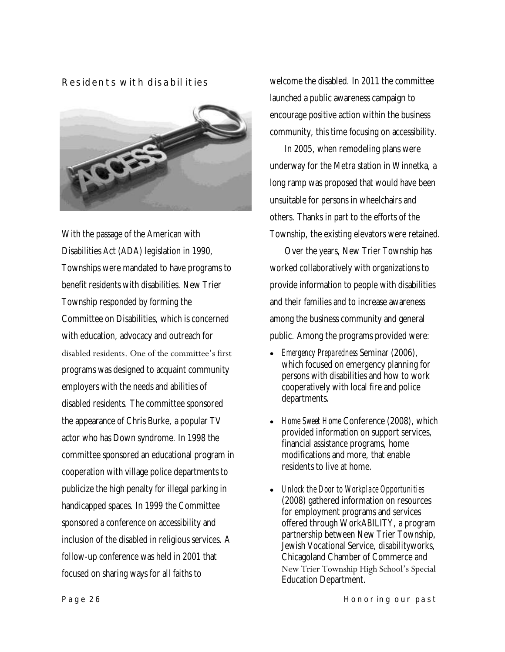#### **Residents with disabilities**



With the passage of the American with Disabilities Act (ADA) legislation in 1990, Townships were mandated to have programs to benefit residents with disabilities. New Trier Township responded by forming the Committee on Disabilities, which is concerned with education, advocacy and outreach for disabled residents. One of the committee's first programs was designed to acquaint community employers with the needs and abilities of disabled residents. The committee sponsored the appearance of Chris Burke, a popular TV actor who has Down syndrome. In 1998 the committee sponsored an educational program in cooperation with village police departments to publicize the high penalty for illegal parking in handicapped spaces. In 1999 the Committee sponsored a conference on accessibility and inclusion of the disabled in religious services. A follow-up conference was held in 2001 that focused on sharing ways for all faiths to

welcome the disabled. In 2011 the committee launched a public awareness campaign to encourage positive action within the business community, this time focusing on accessibility.

In 2005, when remodeling plans were underway for the Metra station in Winnetka, a long ramp was proposed that would have been unsuitable for persons in wheelchairs and others. Thanks in part to the efforts of the Township, the existing elevators were retained.

Over the years, New Trier Township has worked collaboratively with organizations to provide information to people with disabilities and their families and to increase awareness among the business community and general public. Among the programs provided were:

- *Emergency Preparedness* Seminar (2006), which focused on emergency planning for persons with disabilities and how to work cooperatively with local fire and police departments.
- *Home Sweet Home* Conference (2008), which provided information on support services, financial assistance programs, home modifications and more, that enable residents to live at home.
- *Unlock the Door to Workplace Opportunities*  (2008) gathered information on resources for employment programs and services offered through WorkABILITY, a program partnership between New Trier Township, Jewish Vocational Service, disabilityworks, Chicagoland Chamber of Commerce and New Trier Township High School's Special Education Department.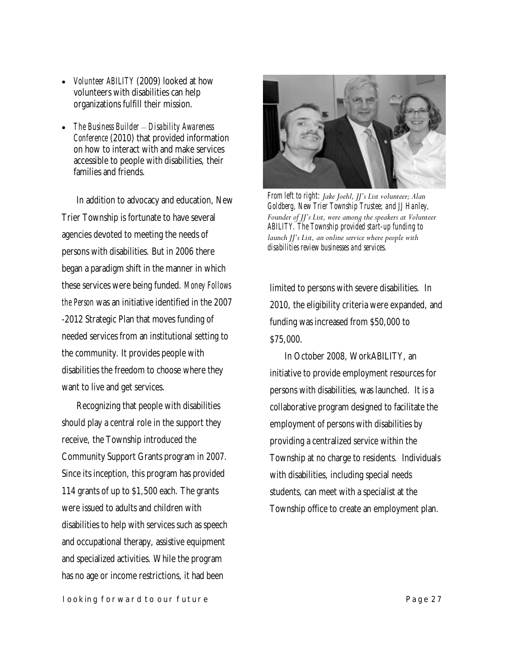- *Volunteer ABILITY* (2009) looked at how volunteers with disabilities can help organizations fulfill their mission.
- *The Business Builder – Disability Awareness Conference* (2010) that provided information on how to interact with and make services accessible to people with disabilities, their families and friends.

In addition to advocacy and education, New Trier Township is fortunate to have several agencies devoted to meeting the needs of persons with disabilities. But in 2006 there began a paradigm shift in the manner in which these services were being funded. *Money Follows the Person* was an initiative identified in the 2007 -2012 Strategic Plan that moves funding of needed services from an institutional setting to the community. It provides people with disabilities the freedom to choose where they want to live and get services.

Recognizing that people with disabilities should play a central role in the support they receive, the Township introduced the Community Support Grants program in 2007. Since its inception, this program has provided 114 grants of up to \$1,500 each. The grants were issued to adults and children with disabilities to help with services such as speech and occupational therapy, assistive equipment and specialized activities. While the program has no age or income restrictions, it had been



*From left to right: Jake Joehl, JJ's List volunteer; Alan Goldberg, New Trier Township Trustee; and JJ Hanley, Founder of JJ's List, were among the speakers at Volunteer ABILITY. The Township provided start-up funding to launch JJ's List, an online service where people with disabilities review businesses and services.* 

limited to persons with severe disabilities. In 2010, the eligibility criteria were expanded, and funding was increased from \$50,000 to \$75,000.

In October 2008, WorkABILITY, an initiative to provide employment resources for persons with disabilities, was launched. It is a collaborative program designed to facilitate the employment of persons with disabilities by providing a centralized service within the Township at no charge to residents. Individuals with disabilities, including special needs students, can meet with a specialist at the Township office to create an employment plan.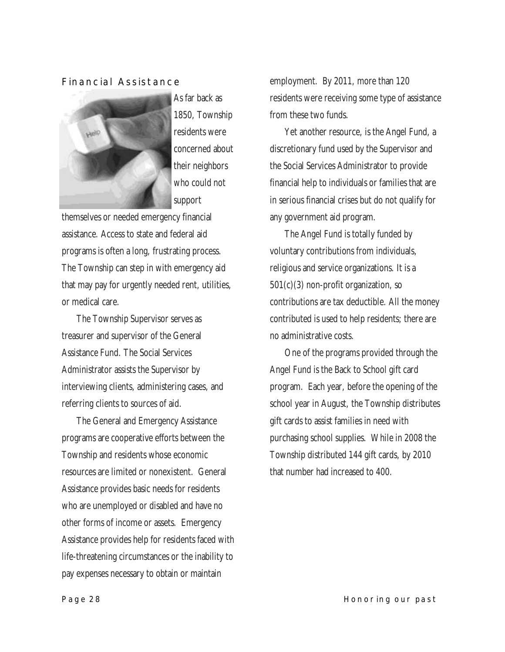#### **Financial Assistance**



As far back as 1850, Township residents were concerned about their neighbors who could not support

themselves or needed emergency financial assistance. Access to state and federal aid programs is often a long, frustrating process. The Township can step in with emergency aid that may pay for urgently needed rent, utilities, or medical care.

The Township Supervisor serves as treasurer and supervisor of the General Assistance Fund. The Social Services Administrator assists the Supervisor by interviewing clients, administering cases, and referring clients to sources of aid.

The General and Emergency Assistance programs are cooperative efforts between the Township and residents whose economic resources are limited or nonexistent. General Assistance provides basic needs for residents who are unemployed or disabled and have no other forms of income or assets. Emergency Assistance provides help for residents faced with life-threatening circumstances or the inability to pay expenses necessary to obtain or maintain

employment. By 2011, more than 120 residents were receiving some type of assistance from these two funds.

Yet another resource, is the Angel Fund, a discretionary fund used by the Supervisor and the Social Services Administrator to provide financial help to individuals or families that are in serious financial crises but do not qualify for any government aid program.

The Angel Fund is totally funded by voluntary contributions from individuals, religious and service organizations. It is a 501(c)(3) non-profit organization, so contributions are tax deductible. All the money contributed is used to help residents; there are no administrative costs.

One of the programs provided through the Angel Fund is the Back to School gift card program. Each year, before the opening of the school year in August, the Township distributes gift cards to assist families in need with purchasing school supplies. While in 2008 the Township distributed 144 gift cards, by 2010 that number had increased to 400.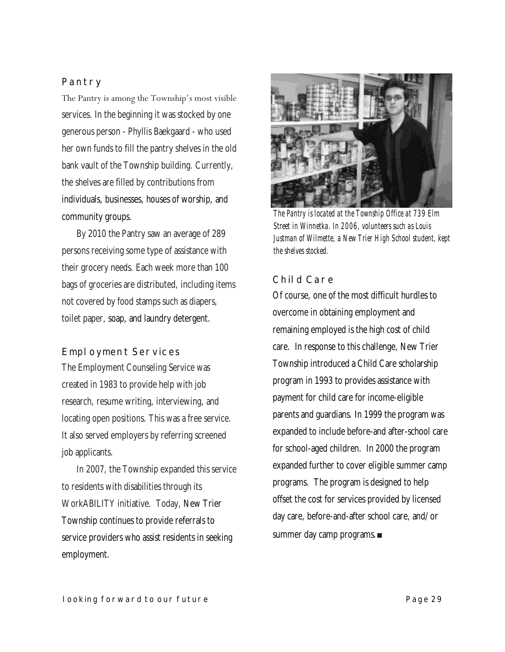### **Pantry**

The Pantry is among the Township's most visible services. In the beginning it was stocked by one generous person - Phyllis Baekgaard - who used her own funds to fill the pantry shelves in the old bank vault of the Township building. Currently, the shelves are filled by contributions from individuals, businesses, houses of worship, and community groups.

By 2010 the Pantry saw an average of 289 persons receiving some type of assistance with their grocery needs. Each week more than 100 bags of groceries are distributed, including items not covered by food stamps such as diapers, toilet paper, soap, and laundry detergent.

#### **Employment Services**

The Employment Counseling Service was created in 1983 to provide help with job research, resume writing, interviewing, and locating open positions. This was a free service. It also served employers by referring screened job applicants.

In 2007, the Township expanded this service to residents with disabilities through its WorkABILITY initiative. Today, New Trier Township continues to provide referrals to service providers who assist residents in seeking employment.



*The Pantry is located at the Township Office at 739 Elm Street in Winnetka. In 2006, volunteers such as Louis Justman of Wilmette, a New Trier High School student, kept the shelves stocked.*

#### **Child Care**

Of course, one of the most difficult hurdles to overcome in obtaining employment and remaining employed is the high cost of child care. In response to this challenge, New Trier Township introduced a Child Care scholarship program in 1993 to provides assistance with payment for child care for income-eligible parents and guardians. In 1999 the program was expanded to include before-and after-school care for school-aged children. In 2000 the program expanded further to cover eligible summer camp programs. The program is designed to help offset the cost for services provided by licensed day care, before-and-after school care, and/or summer day camp programs.■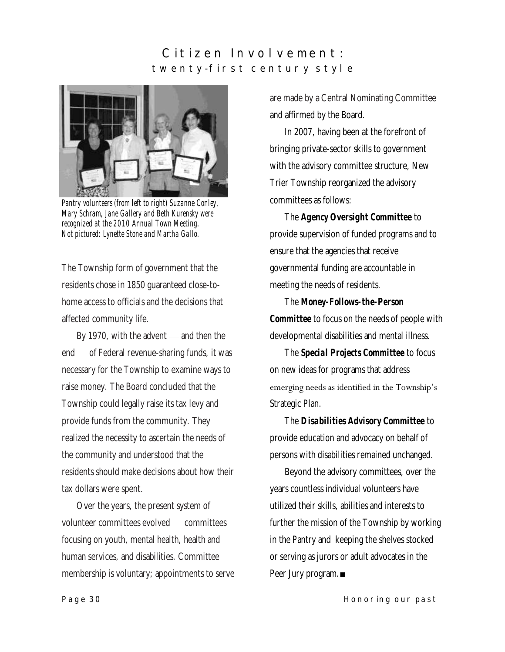## Citizen Involvement: **t w e n t y - f i r s t c e n t u r y s t y l e**



*Pantry volunteers (from left to right) Suzanne Conley, Mary Schram, Jane Gallery and Beth Kurensky were recognized at the 2010 Annual Town Meeting. Not pictured: Lynette Stone and Martha Gallo.*

The Township form of government that the residents chose in 1850 guaranteed close-tohome access to officials and the decisions that affected community life.

By 1970, with the advent — and then the end — of Federal revenue-sharing funds, it was necessary for the Township to examine ways to raise money. The Board concluded that the Township could legally raise its tax levy and provide funds from the community. They realized the necessity to ascertain the needs of the community and understood that the residents should make decisions about how their tax dollars were spent.

Over the years, the present system of volunteer committees evolved — committees focusing on youth, mental health, health and human services, and disabilities. Committee membership is voluntary; appointments to serve are made by a Central Nominating Committee and affirmed by the Board.

In 2007, having been at the forefront of bringing private-sector skills to government with the advisory committee structure, New Trier Township reorganized the advisory committees as follows:

The *Agency Oversight Committee* to provide supervision of funded programs and to ensure that the agencies that receive governmental funding are accountable in meeting the needs of residents.

The *Money-Follows-the-Person Committee* to focus on the needs of people with developmental disabilities and mental illness.

The *Special Projects Committee* to focus on new ideas for programs that address emerging needs as identified in the Township's Strategic Plan.

The *Disabilities Advisory Committee* to provide education and advocacy on behalf of persons with disabilities remained unchanged.

Beyond the advisory committees, over the years countless individual volunteers have utilized their skills, abilities and interests to further the mission of the Township by working in the Pantry and keeping the shelves stocked or serving as jurors or adult advocates in the Peer Jury program.■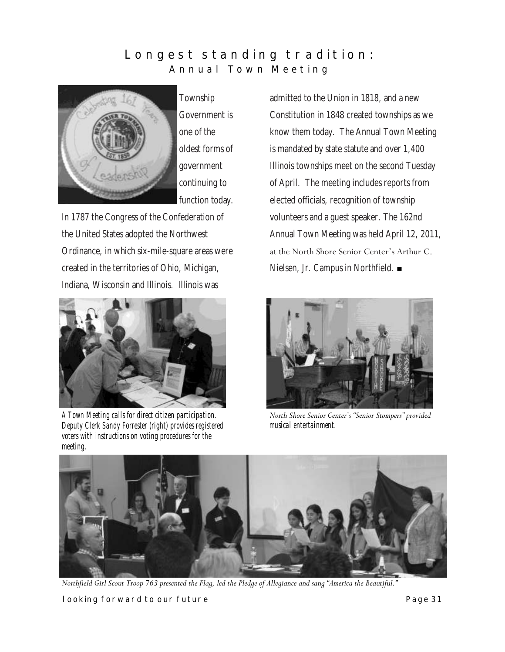## Longest standing tradition: Annual Town Meeting



Township Government is one of the oldest forms of government continuing to function today.

In 1787 the Congress of the Confederation of the United States adopted the Northwest Ordinance, in which six-mile-square areas were created in the territories of Ohio, Michigan, Indiana, Wisconsin and Illinois. Illinois was



*A Town Meeting calls for direct citizen participation. Deputy Clerk Sandy Forrester (right) provides registered voters with instructions on voting procedures for the meeting.* 

admitted to the Union in 1818, and a new Constitution in 1848 created townships as we know them today. The Annual Town Meeting is mandated by state statute and over 1,400 Illinois townships meet on the second Tuesday of April. The meeting includes reports from elected officials, recognition of township volunteers and a guest speaker. The 162nd Annual Town Meeting was held April 12, 2011, at the North Shore Senior Center's Arthur C. Nielsen, Jr. Campus in Northfield. ■



*North Shore Senior Center's ―Senior Stompers‖ provided musical entertainment.*



*Northfield Girl Scout Troop 763 presented the Flag, led the Pledge of Allegiance and sang "America the Beautiful."* 

**looking forward to our future Page 31 Page 31**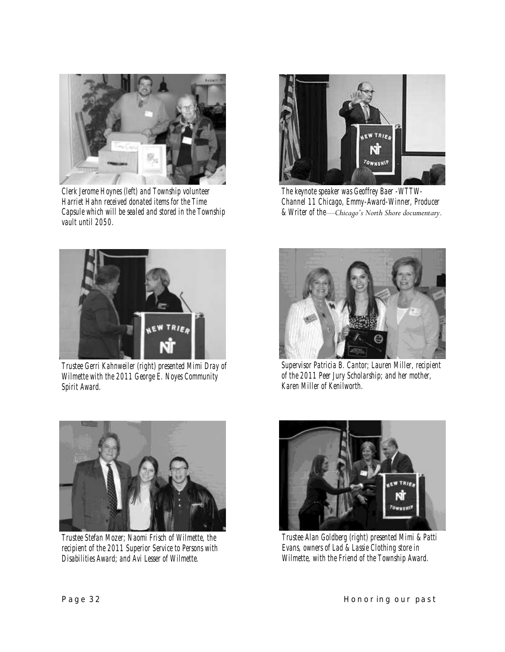

*Clerk Jerome Hoynes (left) and Township volunteer Harriet Hahn received donated items for the Time Capsule which will be sealed and stored in the Township vault until 2050.*



*The keynote speaker was Geoffrey Baer -WTTW-Channel 11 Chicago, Emmy-Award-Winner, Producer & Writer of the—Chicago's North Shore documentary.*



*Trustee Gerri Kahnweiler (right) presented Mimi Dray of Wilmette with the 2011 George E. Noyes Community Spirit Award.* 



*Supervisor Patricia B. Cantor; Lauren Miller, recipient of the 2011 Peer Jury Scholarship; and her mother, Karen Miller of Kenilworth.* 



*Trustee Stefan Mozer; Naomi Frisch of Wilmette, the recipient of the 2011 Superior Service to Persons with Disabilities Award; and Avi Lesser of Wilmette.* 



*Trustee Alan Goldberg (right) presented Mimi & Patti Evans, owners of Lad & Lassie Clothing store in Wilmette, with the Friend of the Township Award.*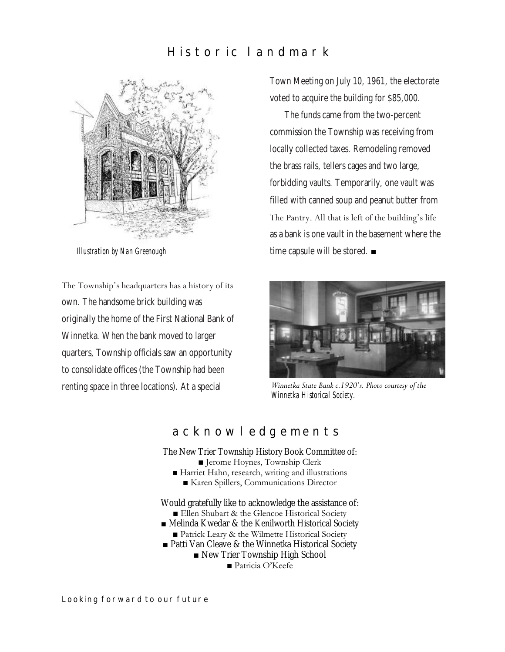# **H i s t o r i c l a n d m a r k**



*Illustration by Nan Greenough*

The Township's headquarters has a history of its own. The handsome brick building was originally the home of the First National Bank of Winnetka. When the bank moved to larger quarters, Township officials saw an opportunity to consolidate offices (the Township had been renting space in three locations). At a special

Town Meeting on July 10, 1961, the electorate voted to acquire the building for \$85,000.

The funds came from the two-percent commission the Township was receiving from locally collected taxes. Remodeling removed the brass rails, tellers cages and two large, forbidding vaults. Temporarily, one vault was filled with canned soup and peanut butter from The Pantry. All that is left of the building's life as a bank is one vault in the basement where the time capsule will be stored. ■



*Winnetka State Bank c.1920's. Photo courtesy of the Winnetka Historical Society.*

## **a c k n o w l e d g e m e n t s**

The New Trier Township History Book Committee of: ■ Jerome Hoynes, Township Clerk

- Harriet Hahn, research, writing and illustrations
	- Karen Spillers, Communications Director

Would gratefully like to acknowledge the assistance of: ■ Ellen Shubart & the Glencoe Historical Society ■ Melinda Kwedar & the Kenilworth Historical Society ■ Patrick Leary & the Wilmette Historical Society ■ Patti Van Cleave & the Winnetka Historical Society

■ New Trier Township High School

■ Patricia O'Keefe

**Looking forward to our future**